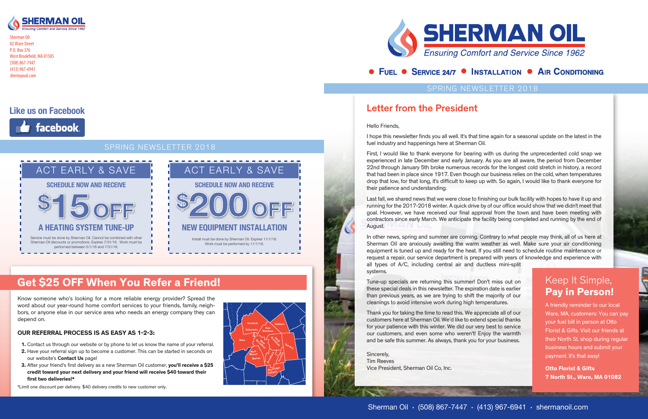# Get \$25 OFF When You Refer a Friend!

#### Sherman Oil • (508) 867-7447 • (413) 967-6941 • shermanoil.com

### SPRING NEWSLETTER 2018



Sherman Oil 82 Ware Street P.O. Box 376 West Brookfield, MA 01585 (508) 867-7447 (413) 967-6941 shermanoil.com

### SPRING NEWSLETTER 2018

## Letter from the President

Hello Friends,

I hope this newsletter finds you all well. It's that time again for a seasonal update on the latest in the fuel industry and happenings here at Sherman Oil.

Last fall, we shared news that we were close to finishing our bulk facility with hopes to have it up and running for the 2017-2018 winter. A quick drive by of our office would show that we didn't meet that goal. However, we have received our final approval from the town and have been meeting with contractors since early March. We anticipate the facility being completed and running by the end of August.

First, I would like to thank everyone for bearing with us during the unprecedented cold snap we experienced in late December and early January. As you are all aware, the period from December 22nd through January 5th broke numerous records for the longest cold stretch in history, a record that had been in place since 1917. Even though our business relies on the cold, when temperatures drop that low, for that long, it's difficult to keep up with. So again, I would like to thank everyone for their patience and understanding.

In other news, spring and summer are coming. Contrary to what people may think, all of us here at Sherman Oil are anxiously awaiting the warm weather as well. Make sure your air conditioning equipment is tuned up and ready for the heat. If you still need to schedule routine maintenance or request a repair, our service department is prepared with years of knowledge and experience with all types of A/C, including central air and ductless mini-split systems.

Tune-up specials are returning this summer! Don't miss out on these special deals in this newsletter. The expiration date is earlier than previous years, as we are trying to shift the majority of our cleanings to avoid intensive work during high temperatures.

Thank you for taking the time to read this. We appreciate all of our customers here at Sherman Oil. We'd like to extend special thanks for your patience with this winter. We did our very best to service our customers, and even some who weren't! Enjoy the warmth and be safe this summer. As always, thank you for your business.

Sincerely, Tim Reeves Vice President, Sherman Oil Co, Inc.

## • FUEL • SERVICE 24/7 • INSTALLATION • AIR CONDITIONING

## **Like us on Facebook**



## Keep It Simple, Pay in Person!

A friendly reminder to our local Ware, MA, customers: You can pay your fuel bill in person at Otto Florist & Gifts. Visit our friends at their North St. shop during regular business hours and submit your payment. It's that easy!

Otto Florist & Gifts 7 North St., Ware, MA 01082





Know someone who's looking for a more reliable energy provider? Spread the word about our year-round home comfort services to your friends, family, neighbors, or anyone else in our service area who needs an energy company they can depend on.

#### OUR REFERRAL PROCESS IS AS EASY AS 1-2-3:

- 1. Contact us through our website or by phone to let us know the name of your referral.
- 2. Have your referral sign up to become a customer. This can be started in seconds on our website's Contact Us page!
- 3. After your friend's first delivery as a new Sherman Oil customer, you'll receive a \$25 credit toward your next delivery and your friend will receive \$40 toward their first two deliveries!\*

\*Limit one discount per delivery. \$40 delivery credits to new customer only.